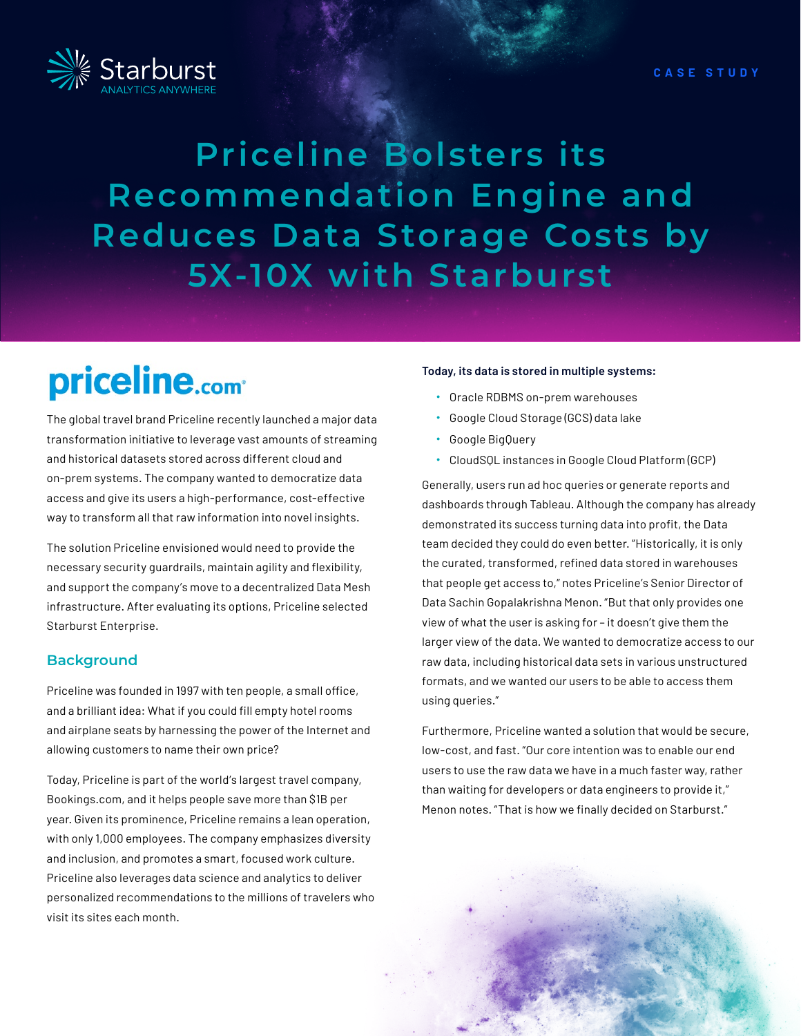**CASE STUDY**

# **Priceline Bolsters its Recommendation Engine and Reduces Data Storage Costs by 5X-10X with Starburst**

# priceline.com<sup>®</sup>

The global travel brand Priceline recently launched a major data transformation initiative to leverage vast amounts of streaming and historical datasets stored across different cloud and on-prem systems. The company wanted to democratize data access and give its users a high-performance, cost-effective way to transform all that raw information into novel insights.

The solution Priceline envisioned would need to provide the necessary security guardrails, maintain agility and flexibility, and support the company's move to a decentralized Data Mesh infrastructure. After evaluating its options, Priceline selected Starburst Enterprise.

## **Background**

Priceline was founded in 1997 with ten people, a small office, and a brilliant idea: What if you could fill empty hotel rooms and airplane seats by harnessing the power of the Internet and allowing customers to name their own price?

Today, Priceline is part of the world's largest travel company, Bookings.com, and it helps people save more than \$1B per year. Given its prominence, Priceline remains a lean operation, with only 1,000 employees. The company emphasizes diversity and inclusion, and promotes a smart, focused work culture. Priceline also leverages data science and analytics to deliver personalized recommendations to the millions of travelers who visit its sites each month.

#### **Today, its data is stored in multiple systems:**

- Oracle RDBMS on-prem warehouses
- Google Cloud Storage (GCS) data lake
- Google BigQuery
- CloudSQL instances in Google Cloud Platform (GCP)

Generally, users run ad hoc queries or generate reports and dashboards through Tableau. Although the company has already demonstrated its success turning data into profit, the Data team decided they could do even better. "Historically, it is only the curated, transformed, refined data stored in warehouses that people get access to," notes Priceline's Senior Director of Data Sachin Gopalakrishna Menon. "But that only provides one view of what the user is asking for – it doesn't give them the larger view of the data. We wanted to democratize access to our raw data, including historical data sets in various unstructured formats, and we wanted our users to be able to access them using queries."

Furthermore, Priceline wanted a solution that would be secure, low-cost, and fast. "Our core intention was to enable our end users to use the raw data we have in a much faster way, rather than waiting for developers or data engineers to provide it," Menon notes. "That is how we finally decided on Starburst."

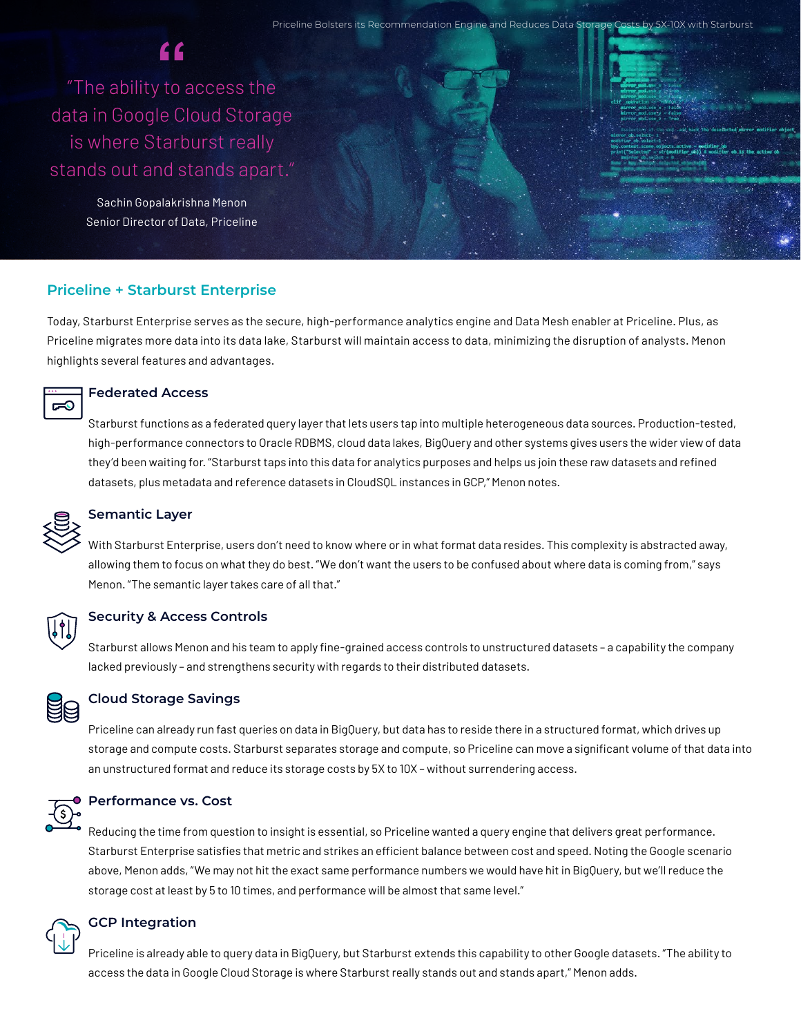Priceline Bolsters its Recommendation Engine and Reduces Data Storage Costs by 5X-10X with Starburst

"The ability to access the **"**data in Google Cloud Storage is where Starburst really stands out and stands apart."

> Sachin Gopalakrishna Menon Senior Director of Data, Priceline



## **Priceline + Starburst Enterprise**

Today, Starburst Enterprise serves as the secure, high-performance analytics engine and Data Mesh enabler at Priceline. Plus, as Priceline migrates more data into its data lake, Starburst will maintain access to data, minimizing the disruption of analysts. Menon highlights several features and advantages.



### **Federated Access**

Starburst functions as a federated query layer that lets users tap into multiple heterogeneous data sources. Production-tested, high-performance connectors to Oracle RDBMS, cloud data lakes, BigQuery and other systems gives users the wider view of data they'd been waiting for. "Starburst taps into this data for analytics purposes and helps us join these raw datasets and refined datasets, plus metadata and reference datasets in CloudSQL instances in GCP," Menon notes.



## **Semantic Layer**

With Starburst Enterprise, users don't need to know where or in what format data resides. This complexity is abstracted away, allowing them to focus on what they do best. "We don't want the users to be confused about where data is coming from," says Menon. "The semantic layer takes care of all that."



## **Security & Access Controls**

Starburst allows Menon and his team to apply fine-grained access controls to unstructured datasets – a capability the company lacked previously – and strengthens security with regards to their distributed datasets.



#### **Cloud Storage Savings**

Priceline can already run fast queries on data in BigQuery, but data has to reside there in a structured format, which drives up storage and compute costs. Starburst separates storage and compute, so Priceline can move a significant volume of that data into an unstructured format and reduce its storage costs by 5X to 10X – without surrendering access.

**Performance vs. Cost**

Reducing the time from question to insight is essential, so Priceline wanted a query engine that delivers great performance. Starburst Enterprise satisfies that metric and strikes an efficient balance between cost and speed. Noting the Google scenario above, Menon adds, "We may not hit the exact same performance numbers we would have hit in BigQuery, but we'll reduce the storage cost at least by 5 to 10 times, and performance will be almost that same level."



#### **GCP Integration**

Priceline is already able to query data in BigQuery, but Starburst extends this capability to other Google datasets. "The ability to access the data in Google Cloud Storage is where Starburst really stands out and stands apart," Menon adds.